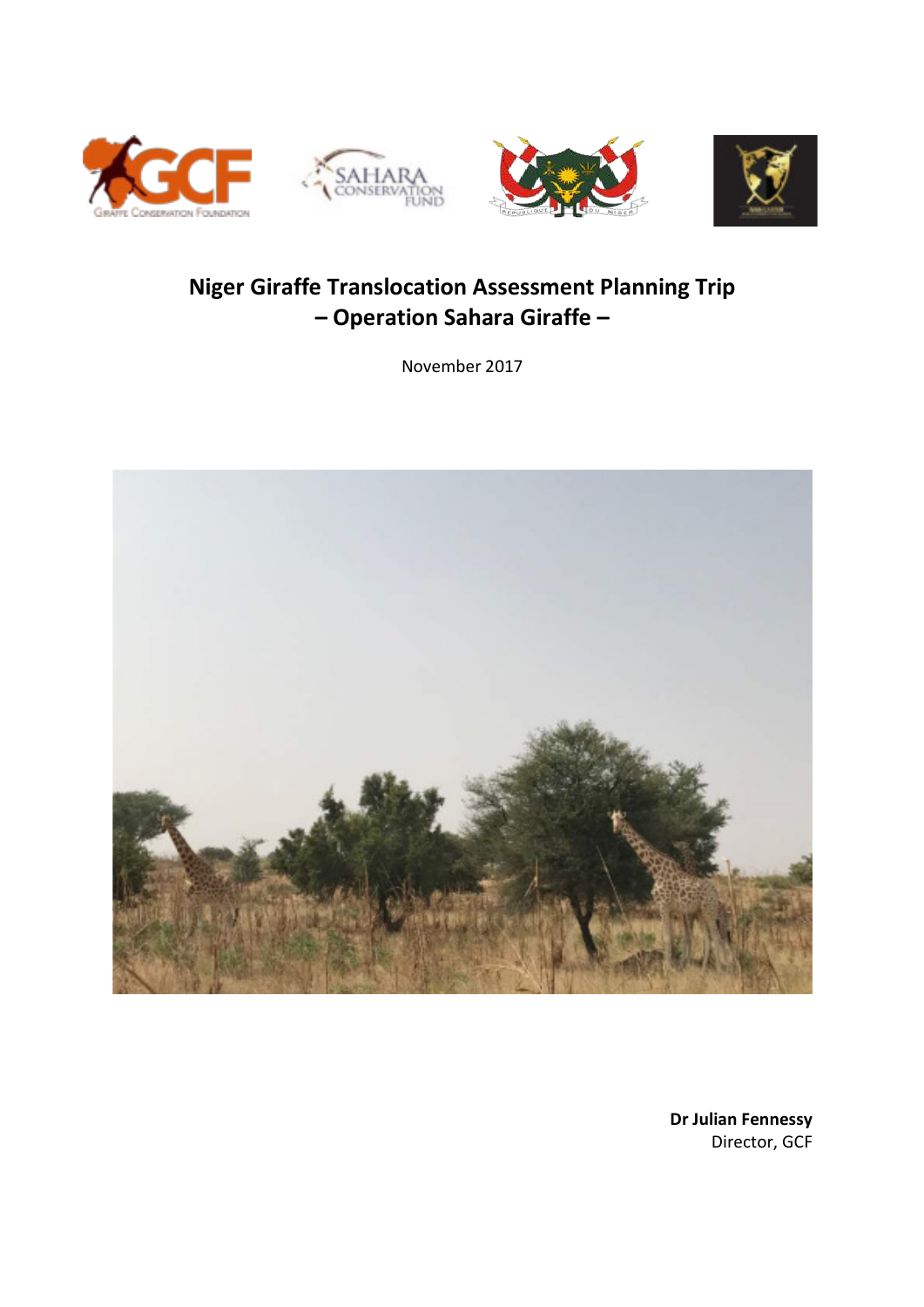







# **Niger Giraffe Translocation Assessment Planning Trip – Operation Sahara Giraffe –**

November 2017



**Dr Julian Fennessy** Director, GCF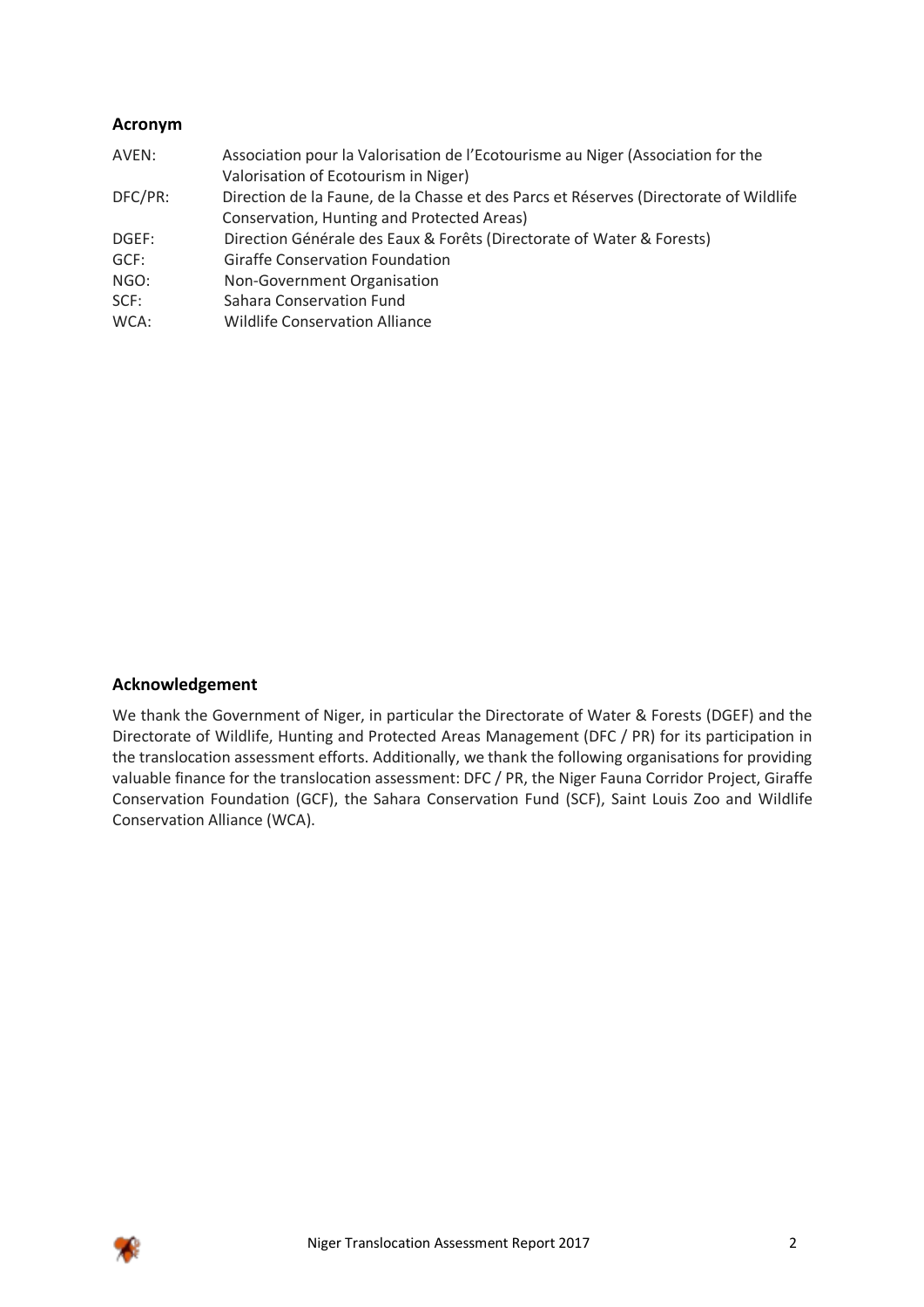# **Acronym**

| AVEN:   | Association pour la Valorisation de l'Ecotourisme au Niger (Association for the       |
|---------|---------------------------------------------------------------------------------------|
|         | Valorisation of Ecotourism in Niger)                                                  |
| DFC/PR: | Direction de la Faune, de la Chasse et des Parcs et Réserves (Directorate of Wildlife |
|         | Conservation, Hunting and Protected Areas)                                            |
| DGEF:   | Direction Générale des Eaux & Forêts (Directorate of Water & Forests)                 |
| GCF:    | <b>Giraffe Conservation Foundation</b>                                                |
| NGO:    | Non-Government Organisation                                                           |
| SCF:    | Sahara Conservation Fund                                                              |
| WCA:    | <b>Wildlife Conservation Alliance</b>                                                 |
|         |                                                                                       |

# **Acknowledgement**

We thank the Government of Niger, in particular the Directorate of Water & Forests (DGEF) and the Directorate of Wildlife, Hunting and Protected Areas Management (DFC / PR) for its participation in the translocation assessment efforts. Additionally, we thank the following organisations for providing valuable finance for the translocation assessment: DFC / PR, the Niger Fauna Corridor Project, Giraffe Conservation Foundation (GCF), the Sahara Conservation Fund (SCF), Saint Louis Zoo and Wildlife Conservation Alliance (WCA).

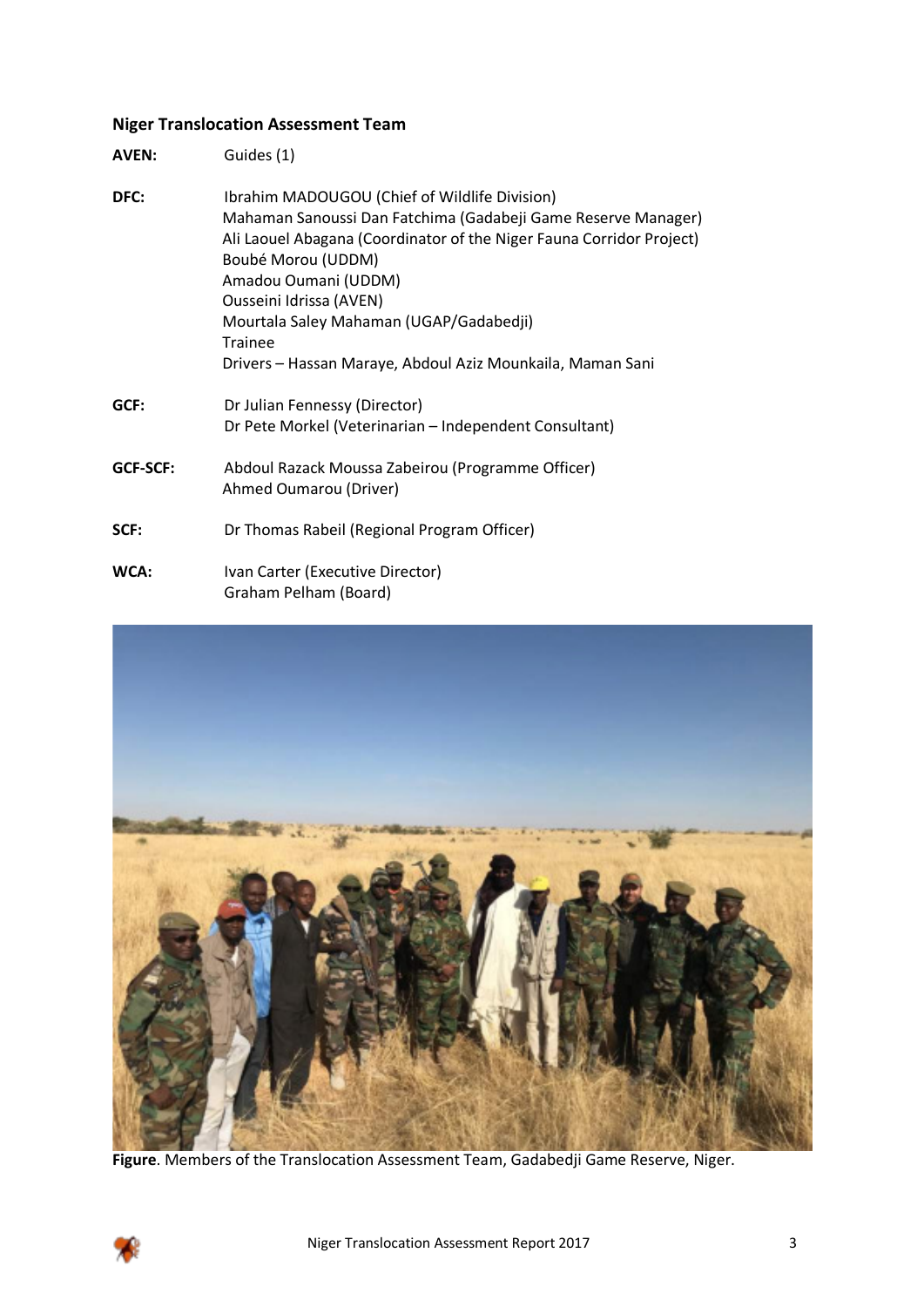# **Niger Translocation Assessment Team**

**AVEN:** Guides (1)

| DFC:     | Ibrahim MADOUGOU (Chief of Wildlife Division)<br>Mahaman Sanoussi Dan Fatchima (Gadabeji Game Reserve Manager)<br>Ali Laouel Abagana (Coordinator of the Niger Fauna Corridor Project)<br>Boubé Morou (UDDM)<br>Amadou Oumani (UDDM)<br>Ousseini Idrissa (AVEN)<br>Mourtala Saley Mahaman (UGAP/Gadabedji)<br>Trainee<br>Drivers - Hassan Maraye, Abdoul Aziz Mounkaila, Maman Sani |
|----------|-------------------------------------------------------------------------------------------------------------------------------------------------------------------------------------------------------------------------------------------------------------------------------------------------------------------------------------------------------------------------------------|
| GCF:     | Dr Julian Fennessy (Director)<br>Dr Pete Morkel (Veterinarian - Independent Consultant)                                                                                                                                                                                                                                                                                             |
| GCF-SCF: | Abdoul Razack Moussa Zabeirou (Programme Officer)<br>Ahmed Oumarou (Driver)                                                                                                                                                                                                                                                                                                         |
| SCF:     | Dr Thomas Rabeil (Regional Program Officer)                                                                                                                                                                                                                                                                                                                                         |
| WCA:     | Ivan Carter (Executive Director)<br>Graham Pelham (Board)                                                                                                                                                                                                                                                                                                                           |



**Figure**. Members of the Translocation Assessment Team, Gadabedji Game Reserve, Niger.

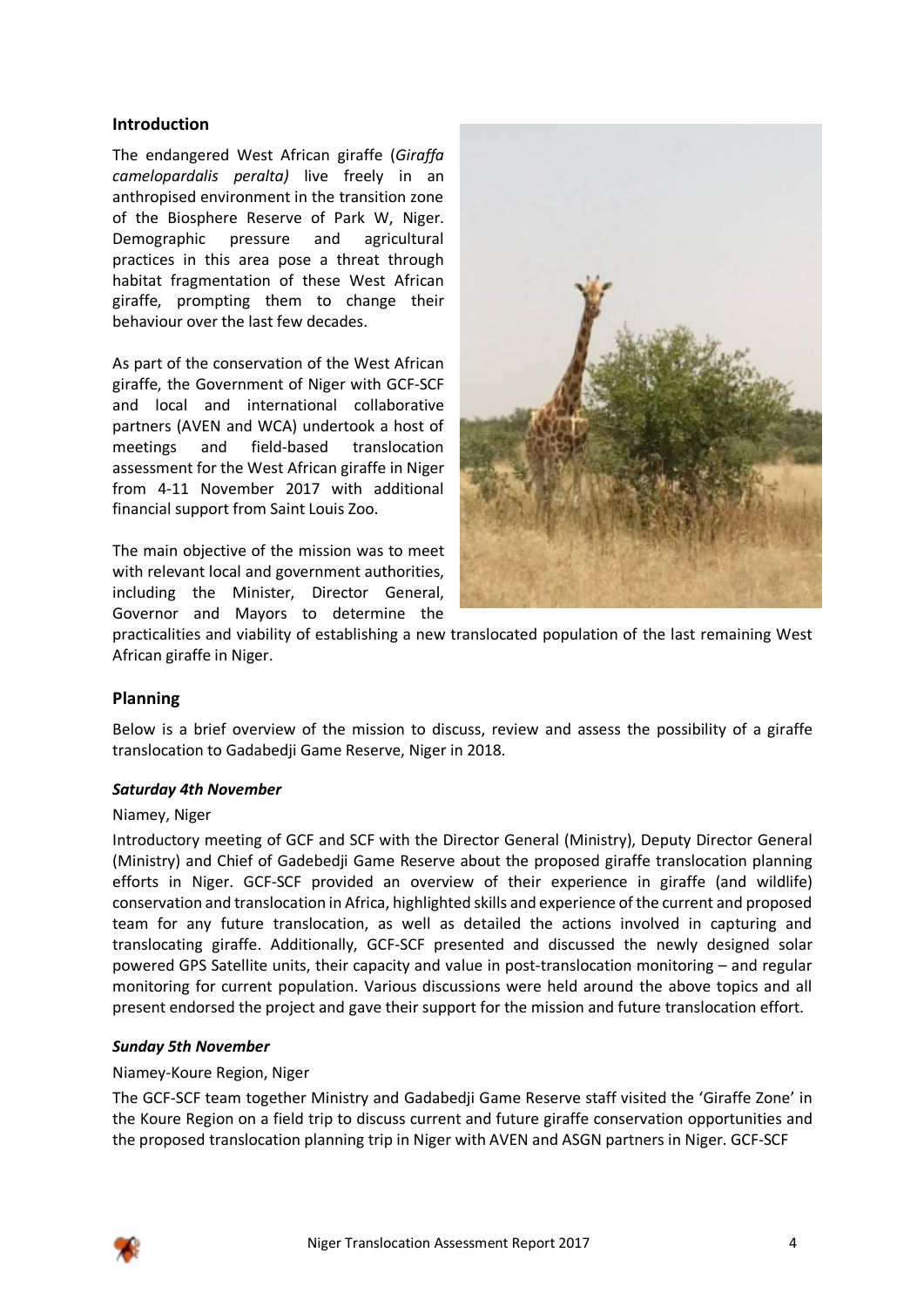# **Introduction**

The endangered West African giraffe (*Giraffa camelopardalis peralta)* live freely in an anthropised environment in the transition zone of the Biosphere Reserve of Park W, Niger. Demographic pressure and agricultural practices in this area pose a threat through habitat fragmentation of these West African giraffe, prompting them to change their behaviour over the last few decades.

As part of the conservation of the West African giraffe, the Government of Niger with GCF-SCF and local and international collaborative partners (AVEN and WCA) undertook a host of meetings and field-based translocation assessment for the West African giraffe in Niger from 4-11 November 2017 with additional financial support from Saint Louis Zoo.

The main objective of the mission was to meet with relevant local and government authorities, including the Minister, Director General, Governor and Mayors to determine the



practicalities and viability of establishing a new translocated population of the last remaining West African giraffe in Niger.

# **Planning**

Below is a brief overview of the mission to discuss, review and assess the possibility of a giraffe translocation to Gadabedji Game Reserve, Niger in 2018.

#### *Saturday 4th November*

#### Niamey, Niger

Introductory meeting of GCF and SCF with the Director General (Ministry), Deputy Director General (Ministry) and Chief of Gadebedji Game Reserve about the proposed giraffe translocation planning efforts in Niger. GCF-SCF provided an overview of their experience in giraffe (and wildlife) conservation and translocation in Africa, highlighted skills and experience of the current and proposed team for any future translocation, as well as detailed the actions involved in capturing and translocating giraffe. Additionally, GCF-SCF presented and discussed the newly designed solar powered GPS Satellite units, their capacity and value in post-translocation monitoring – and regular monitoring for current population. Various discussions were held around the above topics and all present endorsed the project and gave their support for the mission and future translocation effort.

#### *Sunday 5th November*

#### Niamey-Koure Region, Niger

The GCF-SCF team together Ministry and Gadabedji Game Reserve staff visited the 'Giraffe Zone' in the Koure Region on a field trip to discuss current and future giraffe conservation opportunities and the proposed translocation planning trip in Niger with AVEN and ASGN partners in Niger. GCF-SCF

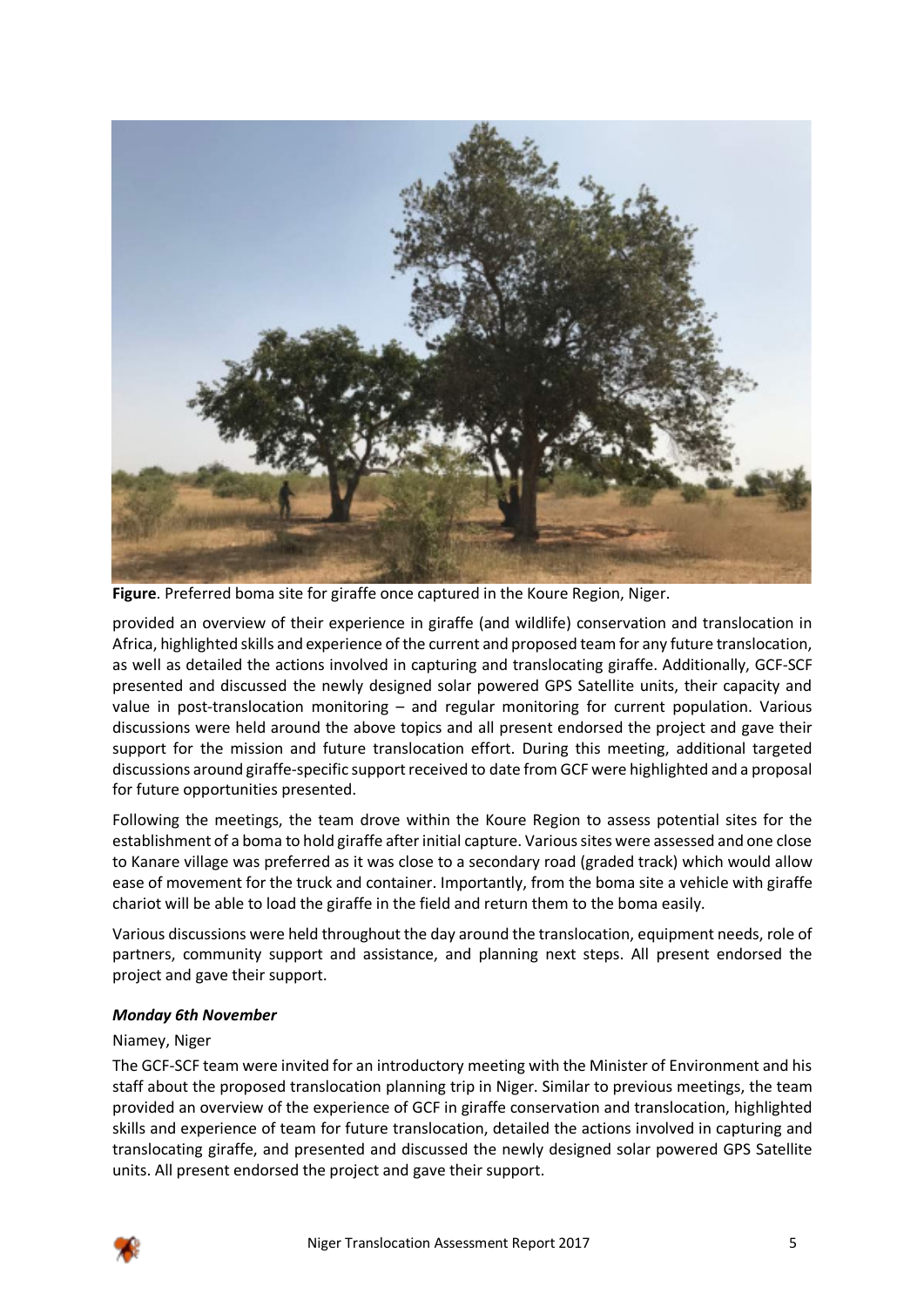

**Figure**. Preferred boma site for giraffe once captured in the Koure Region, Niger.

provided an overview of their experience in giraffe (and wildlife) conservation and translocation in Africa, highlighted skills and experience of the current and proposed team for any future translocation, as well as detailed the actions involved in capturing and translocating giraffe. Additionally, GCF-SCF presented and discussed the newly designed solar powered GPS Satellite units, their capacity and value in post-translocation monitoring – and regular monitoring for current population. Various discussions were held around the above topics and all present endorsed the project and gave their support for the mission and future translocation effort. During this meeting, additional targeted discussions around giraffe-specific support received to date from GCF were highlighted and a proposal for future opportunities presented.

Following the meetings, the team drove within the Koure Region to assess potential sites for the establishment of a boma to hold giraffe after initial capture. Various sites were assessed and one close to Kanare village was preferred as it was close to a secondary road (graded track) which would allow ease of movement for the truck and container. Importantly, from the boma site a vehicle with giraffe chariot will be able to load the giraffe in the field and return them to the boma easily.

Various discussions were held throughout the day around the translocation, equipment needs, role of partners, community support and assistance, and planning next steps. All present endorsed the project and gave their support.

# *Monday 6th November*

#### Niamey, Niger

The GCF-SCF team were invited for an introductory meeting with the Minister of Environment and his staff about the proposed translocation planning trip in Niger. Similar to previous meetings, the team provided an overview of the experience of GCF in giraffe conservation and translocation, highlighted skills and experience of team for future translocation, detailed the actions involved in capturing and translocating giraffe, and presented and discussed the newly designed solar powered GPS Satellite units. All present endorsed the project and gave their support.

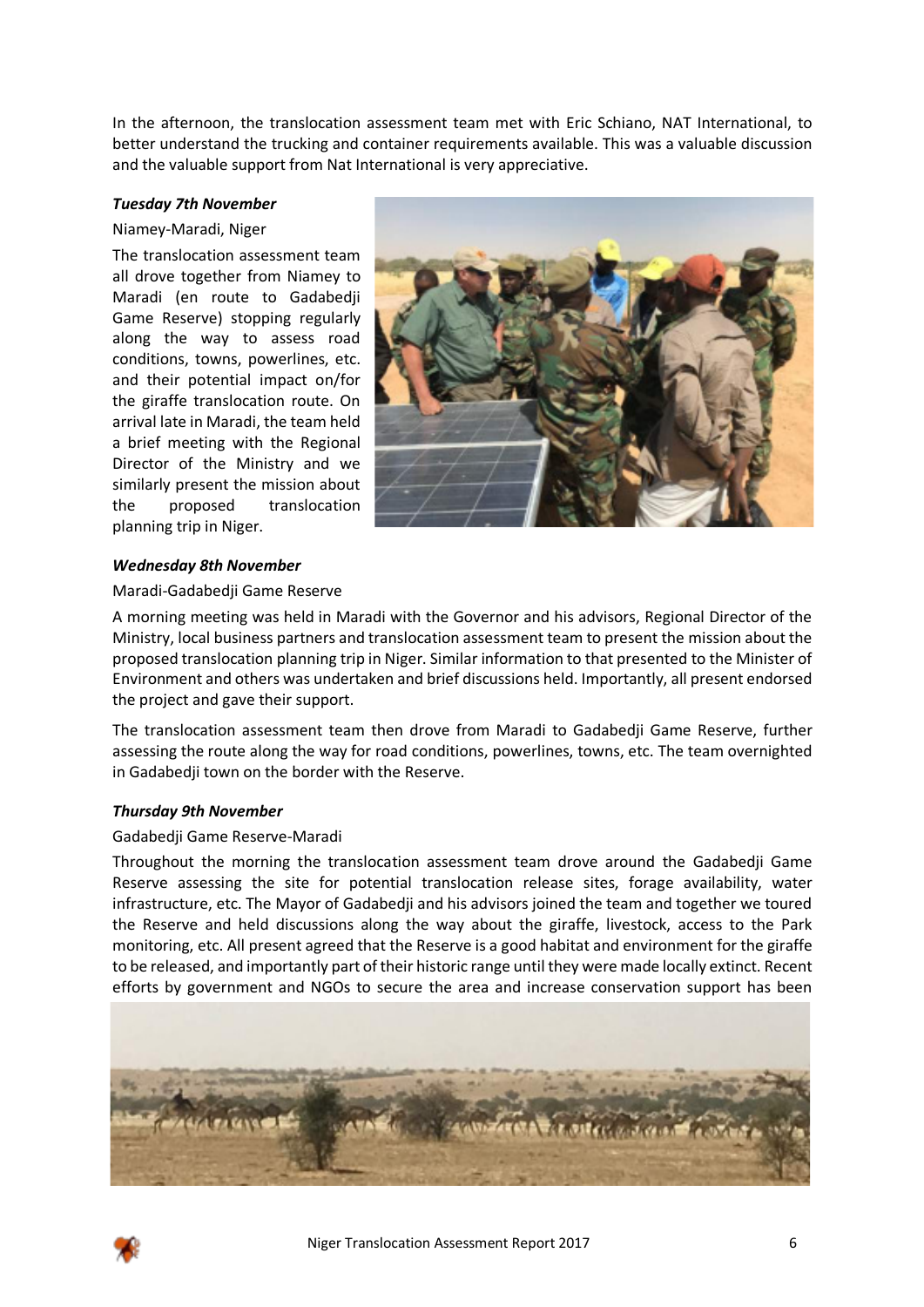In the afternoon, the translocation assessment team met with Eric Schiano, NAT International, to better understand the trucking and container requirements available. This was a valuable discussion and the valuable support from Nat International is very appreciative.

#### *Tuesday 7th November*

#### Niamey-Maradi, Niger

The translocation assessment team all drove together from Niamey to Maradi (en route to Gadabedji Game Reserve) stopping regularly along the way to assess road conditions, towns, powerlines, etc. and their potential impact on/for the giraffe translocation route. On arrival late in Maradi, the team held a brief meeting with the Regional Director of the Ministry and we similarly present the mission about the proposed translocation planning trip in Niger.



#### *Wednesday 8th November*

#### Maradi-Gadabedji Game Reserve

A morning meeting was held in Maradi with the Governor and his advisors, Regional Director of the Ministry, local business partners and translocation assessment team to present the mission about the proposed translocation planning trip in Niger. Similar information to that presented to the Minister of Environment and others was undertaken and brief discussions held. Importantly, all present endorsed the project and gave their support.

The translocation assessment team then drove from Maradi to Gadabedji Game Reserve, further assessing the route along the way for road conditions, powerlines, towns, etc. The team overnighted in Gadabedji town on the border with the Reserve.

#### *Thursday 9th November*

#### Gadabedji Game Reserve-Maradi

Throughout the morning the translocation assessment team drove around the Gadabedji Game Reserve assessing the site for potential translocation release sites, forage availability, water infrastructure, etc. The Mayor of Gadabedji and his advisors joined the team and together we toured the Reserve and held discussions along the way about the giraffe, livestock, access to the Park monitoring, etc. All present agreed that the Reserve is a good habitat and environment for the giraffe to be released, and importantly part of their historic range until they were made locally extinct. Recent efforts by government and NGOs to secure the area and increase conservation support has been



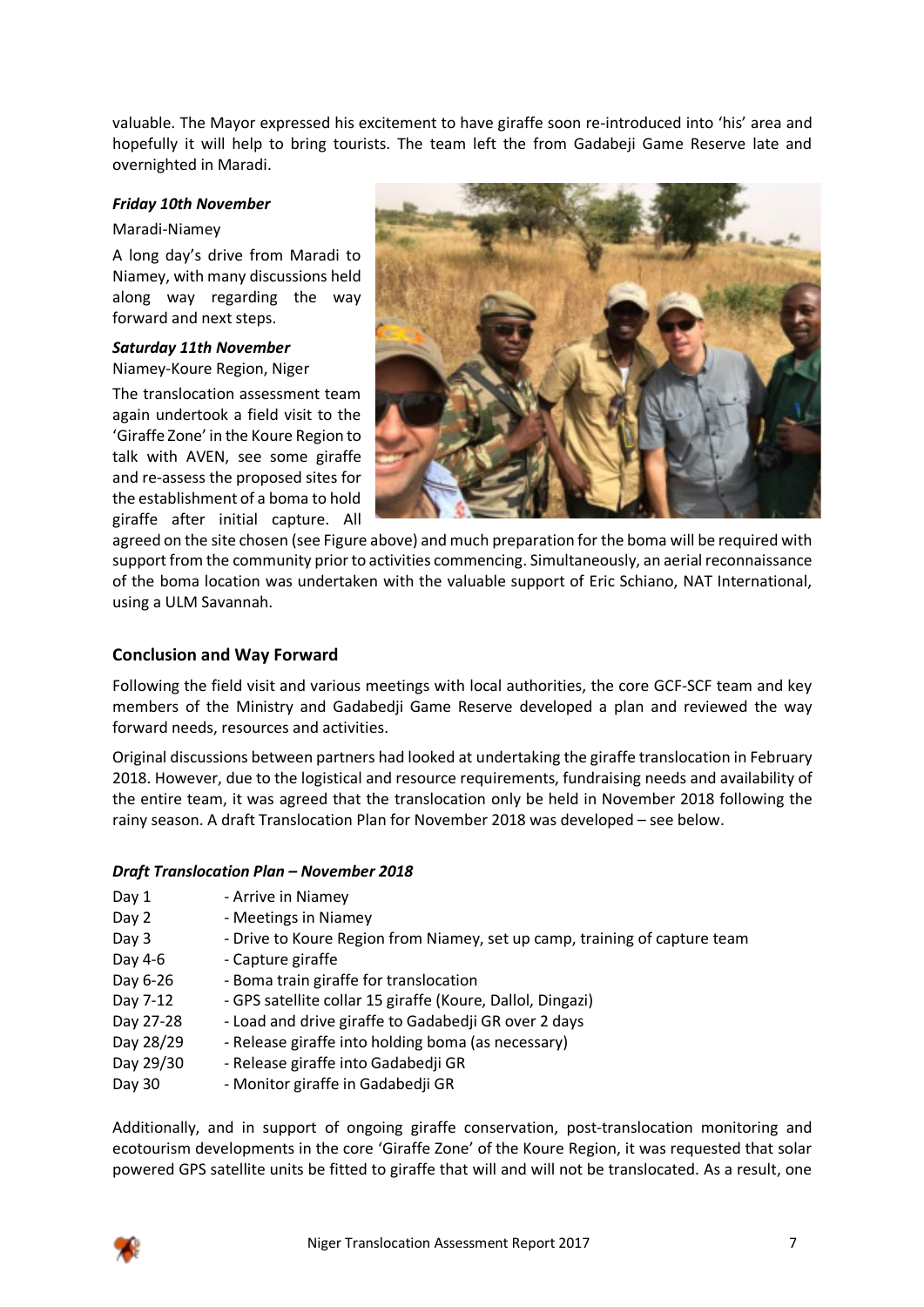valuable. The Mayor expressed his excitement to have giraffe soon re-introduced into 'his' area and hopefully it will help to bring tourists. The team left the from Gadabeji Game Reserve late and overnighted in Maradi.

# *Friday 10th November*

#### Maradi-Niamey

A long day's drive from Maradi to Niamey, with many discussions held along way regarding the way forward and next steps.

# *Saturday 11th November*

Niamey-Koure Region, Niger

The translocation assessment team again undertook a field visit to the 'Giraffe Zone' in the Koure Region to talk with AVEN, see some giraffe and re-assess the proposed sites for the establishment of a boma to hold giraffe after initial capture. All



agreed on the site chosen (see Figure above) and much preparation for the boma will be required with support from the community prior to activities commencing. Simultaneously, an aerial reconnaissance of the boma location was undertaken with the valuable support of Eric Schiano, NAT International, using a ULM Savannah.

# **Conclusion and Way Forward**

Following the field visit and various meetings with local authorities, the core GCF-SCF team and key members of the Ministry and Gadabedji Game Reserve developed a plan and reviewed the way forward needs, resources and activities.

Original discussions between partners had looked at undertaking the giraffe translocation in February 2018. However, due to the logistical and resource requirements, fundraising needs and availability of the entire team, it was agreed that the translocation only be held in November 2018 following the rainy season. A draft Translocation Plan for November 2018 was developed – see below.

# *Draft Translocation Plan – November 2018*

- Day 1 Arrive in Niamey
- Day 2 Meetings in Niamey
- Day 3 Drive to Koure Region from Niamey, set up camp, training of capture team
- Day 4-6 Capture giraffe
- Day 6-26 Boma train giraffe for translocation
- Day 7-12 GPS satellite collar 15 giraffe (Koure, Dallol, Dingazi)
- Day 27-28 Load and drive giraffe to Gadabedji GR over 2 days
- Day 28/29 Release giraffe into holding boma (as necessary)
- Day 29/30 Release giraffe into Gadabedji GR
- Day 30 Monitor giraffe in Gadabedji GR

Additionally, and in support of ongoing giraffe conservation, post-translocation monitoring and ecotourism developments in the core 'Giraffe Zone' of the Koure Region, it was requested that solar powered GPS satellite units be fitted to giraffe that will and will not be translocated. As a result, one